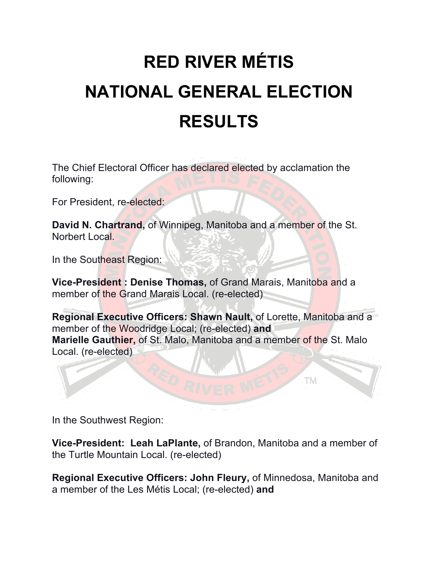## **RED RIVER MÉTIS NATIONAL GENERAL ELECTION RESULTS**

The Chief Electoral Officer has declared elected by acclamation the following:

For President, re-elected:

**David N. Chartrand,** of Winnipeg, Manitoba and a member of the St. Norbert Local.

In the Southeast Region:

**Vice-President : Denise Thomas,** of Grand Marais, Manitoba and a member of the Grand Marais Local. (re-elected)

**Regional Executive Officers: Shawn Nault,** of Lorette, Manitoba and a member of the Woodridge Local; (re-elected) **and Marielle Gauthier,** of St. Malo, Manitoba and a member of the St. Malo Local. (re-elected)

TM)

In the Southwest Region:

**Vice-President: Leah LaPlante,** of Brandon, Manitoba and a member of the Turtle Mountain Local. (re-elected)

**Regional Executive Officers: John Fleury,** of Minnedosa, Manitoba and a member of the Les Métis Local; (re-elected) **and**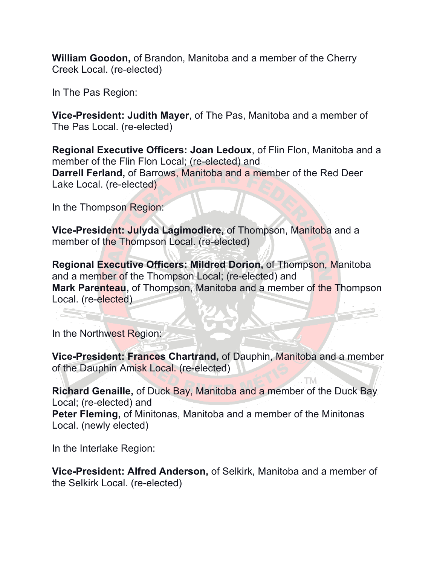**William Goodon,** of Brandon, Manitoba and a member of the Cherry Creek Local. (re-elected)

In The Pas Region:

**Vice-President: Judith Mayer**, of The Pas, Manitoba and a member of The Pas Local. (re-elected)

**Regional Executive Officers: Joan Ledoux**, of Flin Flon, Manitoba and a member of the Flin Flon Local; (re-elected) and **Darrell Ferland,** of Barrows, Manitoba and a member of the Red Deer Lake Local. (re-elected)

In the Thompson Region:

**Vice-President: Julyda Lagimodiere,** of Thompson, Manitoba and a member of the Thompson Local. (re-elected)

**Regional Executive Officers: Mildred Dorion,** of Thompson, Manitoba and a member of the Thompson Local; (re-elected) and **Mark Parenteau,** of Thompson, Manitoba and a member of the Thompson Local. (re-elected)

In the Northwest Region:

**Vice-President: Frances Chartrand,** of Dauphin, Manitoba and a member of the Dauphin Amisk Local. (re-elected)

TM.

**Richard Genaille,** of Duck Bay, Manitoba and a member of the Duck Bay Local; (re-elected) and **Peter Fleming,** of Minitonas, Manitoba and a member of the Minitonas Local. (newly elected)

In the Interlake Region:

**Vice-President: Alfred Anderson,** of Selkirk, Manitoba and a member of the Selkirk Local. (re-elected)